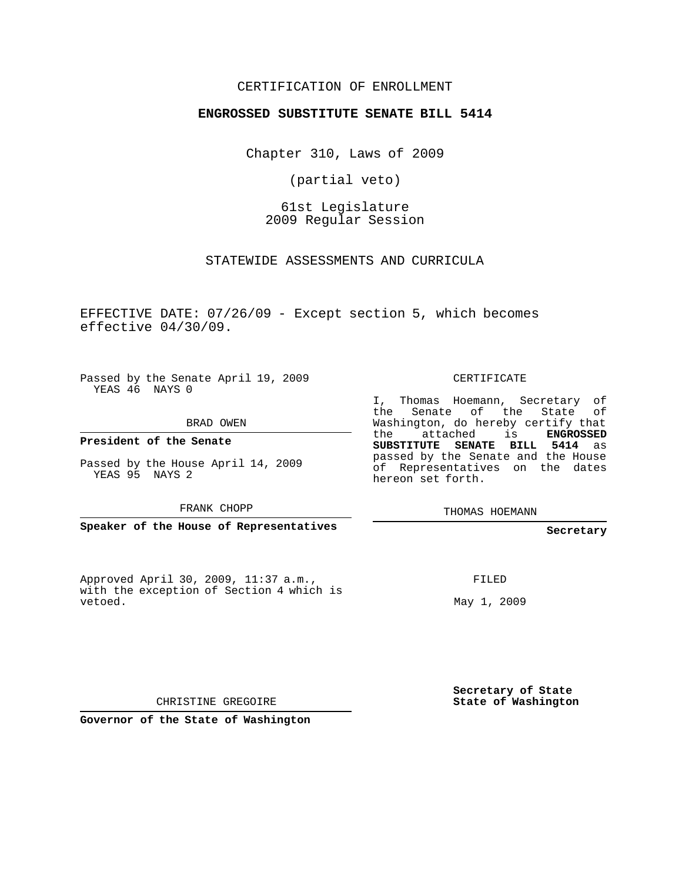## CERTIFICATION OF ENROLLMENT

### **ENGROSSED SUBSTITUTE SENATE BILL 5414**

Chapter 310, Laws of 2009

(partial veto)

61st Legislature 2009 Regular Session

STATEWIDE ASSESSMENTS AND CURRICULA

EFFECTIVE DATE: 07/26/09 - Except section 5, which becomes effective 04/30/09.

Passed by the Senate April 19, 2009 YEAS 46 NAYS 0

BRAD OWEN

**President of the Senate**

Passed by the House April 14, 2009 YEAS 95 NAYS 2

FRANK CHOPP

**Speaker of the House of Representatives**

Approved April 30, 2009, 11:37 a.m., with the exception of Section 4 which is vetoed.

CERTIFICATE

I, Thomas Hoemann, Secretary of the Senate of the State of Washington, do hereby certify that the attached is **ENGROSSED SUBSTITUTE SENATE BILL 5414** as passed by the Senate and the House of Representatives on the dates hereon set forth.

THOMAS HOEMANN

**Secretary**

FILED

May 1, 2009

**Secretary of State State of Washington**

CHRISTINE GREGOIRE

**Governor of the State of Washington**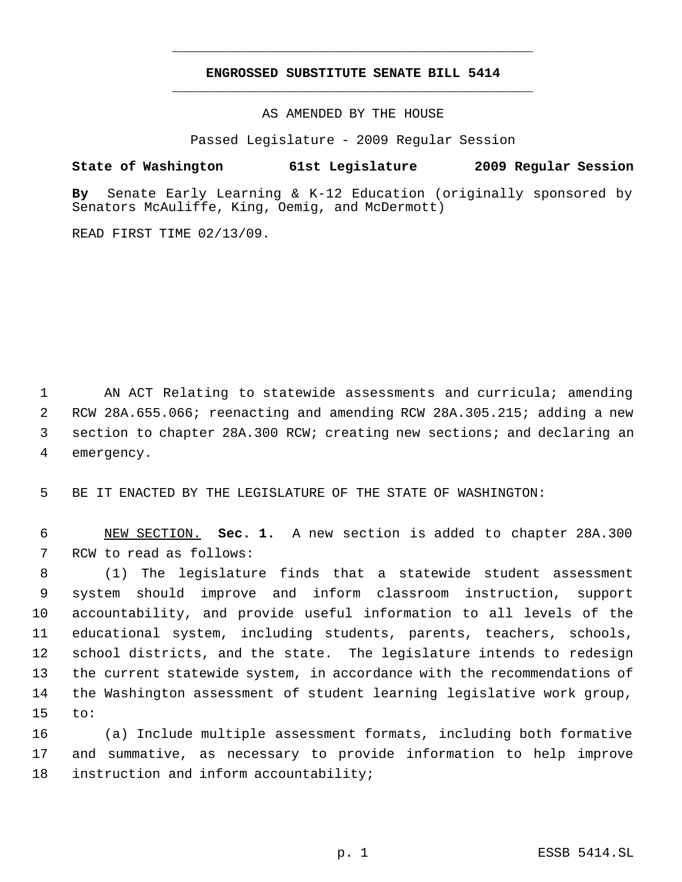# **ENGROSSED SUBSTITUTE SENATE BILL 5414** \_\_\_\_\_\_\_\_\_\_\_\_\_\_\_\_\_\_\_\_\_\_\_\_\_\_\_\_\_\_\_\_\_\_\_\_\_\_\_\_\_\_\_\_\_

\_\_\_\_\_\_\_\_\_\_\_\_\_\_\_\_\_\_\_\_\_\_\_\_\_\_\_\_\_\_\_\_\_\_\_\_\_\_\_\_\_\_\_\_\_

AS AMENDED BY THE HOUSE

Passed Legislature - 2009 Regular Session

# **State of Washington 61st Legislature 2009 Regular Session**

**By** Senate Early Learning & K-12 Education (originally sponsored by Senators McAuliffe, King, Oemig, and McDermott)

READ FIRST TIME 02/13/09.

 AN ACT Relating to statewide assessments and curricula; amending RCW 28A.655.066; reenacting and amending RCW 28A.305.215; adding a new section to chapter 28A.300 RCW; creating new sections; and declaring an emergency.

BE IT ENACTED BY THE LEGISLATURE OF THE STATE OF WASHINGTON:

 NEW SECTION. **Sec. 1.** A new section is added to chapter 28A.300 RCW to read as follows:

 (1) The legislature finds that a statewide student assessment system should improve and inform classroom instruction, support accountability, and provide useful information to all levels of the educational system, including students, parents, teachers, schools, school districts, and the state. The legislature intends to redesign the current statewide system, in accordance with the recommendations of the Washington assessment of student learning legislative work group, to:

 (a) Include multiple assessment formats, including both formative and summative, as necessary to provide information to help improve instruction and inform accountability;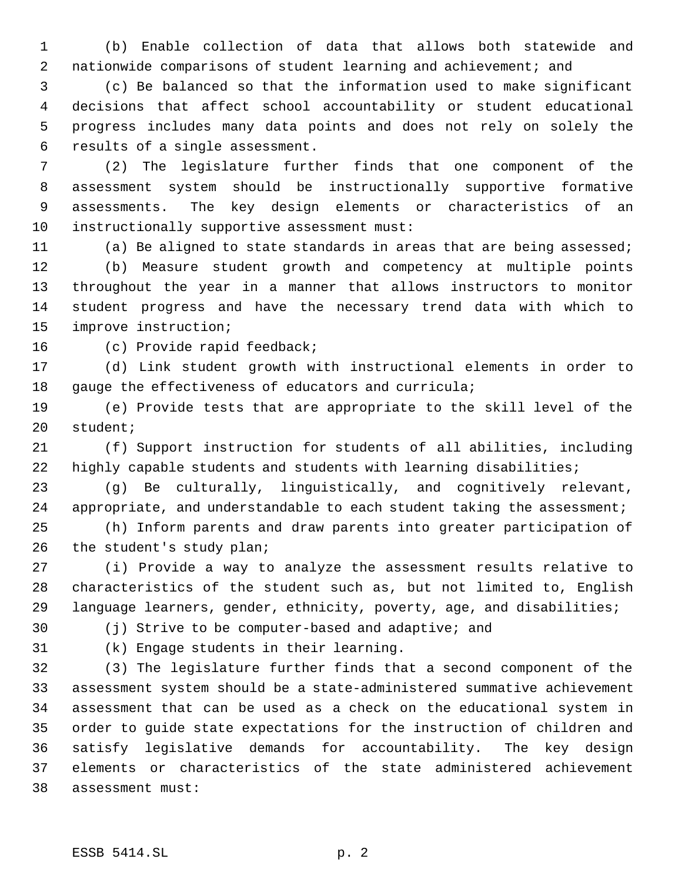(b) Enable collection of data that allows both statewide and nationwide comparisons of student learning and achievement; and

 (c) Be balanced so that the information used to make significant decisions that affect school accountability or student educational progress includes many data points and does not rely on solely the results of a single assessment.

 (2) The legislature further finds that one component of the assessment system should be instructionally supportive formative assessments. The key design elements or characteristics of an instructionally supportive assessment must:

 (a) Be aligned to state standards in areas that are being assessed; (b) Measure student growth and competency at multiple points throughout the year in a manner that allows instructors to monitor student progress and have the necessary trend data with which to improve instruction;

(c) Provide rapid feedback;

 (d) Link student growth with instructional elements in order to 18 gauge the effectiveness of educators and curricula;

 (e) Provide tests that are appropriate to the skill level of the student;

 (f) Support instruction for students of all abilities, including 22 highly capable students and students with learning disabilities;

 (g) Be culturally, linguistically, and cognitively relevant, 24 appropriate, and understandable to each student taking the assessment;

 (h) Inform parents and draw parents into greater participation of the student's study plan;

 (i) Provide a way to analyze the assessment results relative to characteristics of the student such as, but not limited to, English language learners, gender, ethnicity, poverty, age, and disabilities;

(j) Strive to be computer-based and adaptive; and

(k) Engage students in their learning.

 (3) The legislature further finds that a second component of the assessment system should be a state-administered summative achievement assessment that can be used as a check on the educational system in order to guide state expectations for the instruction of children and satisfy legislative demands for accountability. The key design elements or characteristics of the state administered achievement assessment must: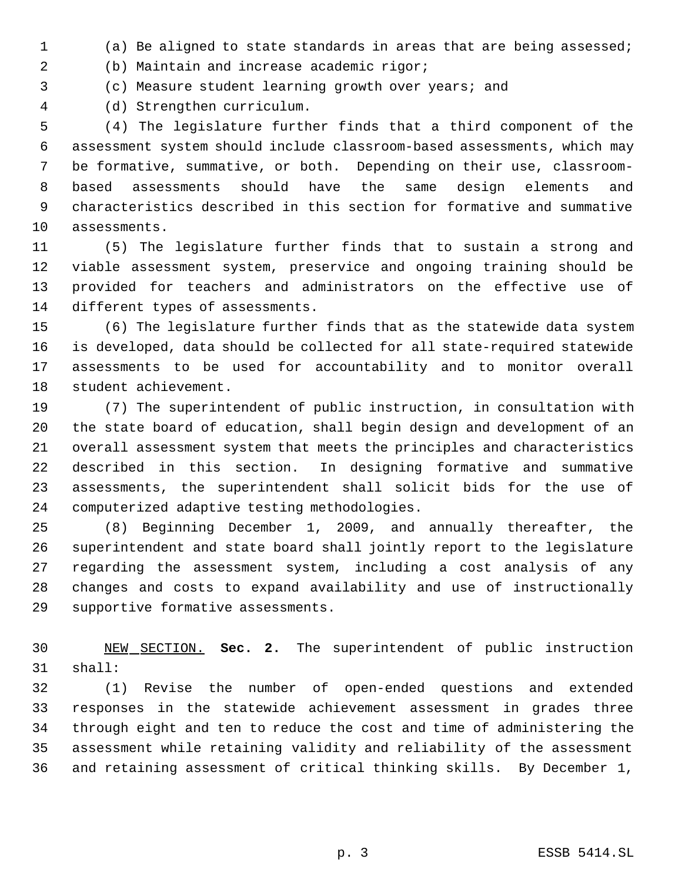(a) Be aligned to state standards in areas that are being assessed;

(b) Maintain and increase academic rigor;

(c) Measure student learning growth over years; and

(d) Strengthen curriculum.

 (4) The legislature further finds that a third component of the assessment system should include classroom-based assessments, which may be formative, summative, or both. Depending on their use, classroom- based assessments should have the same design elements and characteristics described in this section for formative and summative assessments.

 (5) The legislature further finds that to sustain a strong and viable assessment system, preservice and ongoing training should be provided for teachers and administrators on the effective use of different types of assessments.

 (6) The legislature further finds that as the statewide data system is developed, data should be collected for all state-required statewide assessments to be used for accountability and to monitor overall student achievement.

 (7) The superintendent of public instruction, in consultation with the state board of education, shall begin design and development of an overall assessment system that meets the principles and characteristics described in this section. In designing formative and summative assessments, the superintendent shall solicit bids for the use of computerized adaptive testing methodologies.

 (8) Beginning December 1, 2009, and annually thereafter, the superintendent and state board shall jointly report to the legislature regarding the assessment system, including a cost analysis of any changes and costs to expand availability and use of instructionally supportive formative assessments.

 NEW SECTION. **Sec. 2.** The superintendent of public instruction shall:

 (1) Revise the number of open-ended questions and extended responses in the statewide achievement assessment in grades three through eight and ten to reduce the cost and time of administering the assessment while retaining validity and reliability of the assessment and retaining assessment of critical thinking skills. By December 1,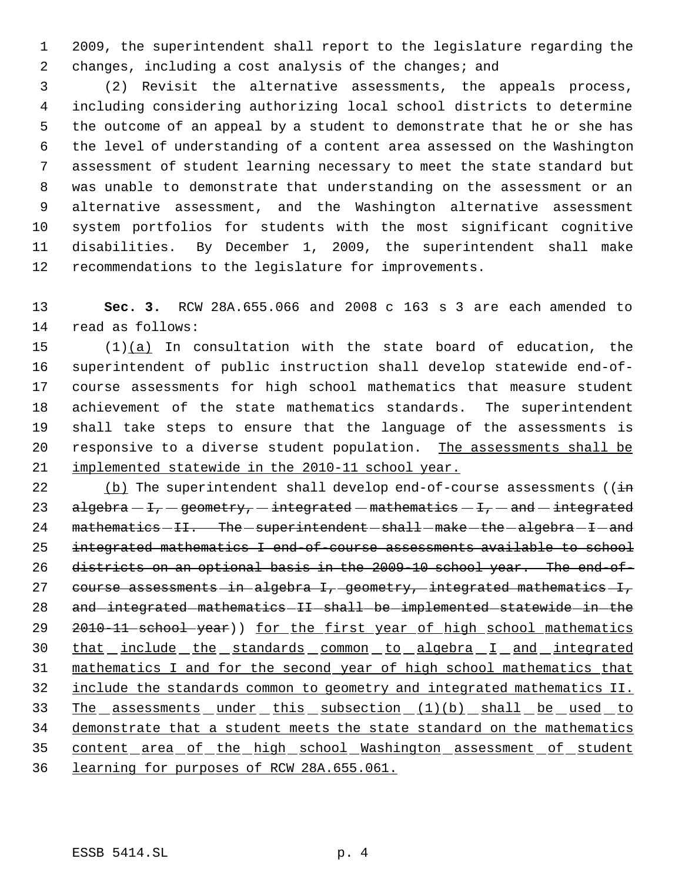2009, the superintendent shall report to the legislature regarding the 2 changes, including a cost analysis of the changes; and

 (2) Revisit the alternative assessments, the appeals process, including considering authorizing local school districts to determine the outcome of an appeal by a student to demonstrate that he or she has the level of understanding of a content area assessed on the Washington assessment of student learning necessary to meet the state standard but was unable to demonstrate that understanding on the assessment or an alternative assessment, and the Washington alternative assessment system portfolios for students with the most significant cognitive disabilities. By December 1, 2009, the superintendent shall make recommendations to the legislature for improvements.

 **Sec. 3.** RCW 28A.655.066 and 2008 c 163 s 3 are each amended to read as follows:

 $(1)(a)$  In consultation with the state board of education, the superintendent of public instruction shall develop statewide end-of- course assessments for high school mathematics that measure student achievement of the state mathematics standards. The superintendent shall take steps to ensure that the language of the assessments is responsive to a diverse student population. The assessments shall be implemented statewide in the 2010-11 school year.

22 (b) The superintendent shall develop end-of-course assessments ( $(i\text{in})$ 23 algebra  $-F$ , geometry,  $-$  integrated  $-$  mathematics  $-F$ ,  $-$  and  $-$  integrated mathematics  $-II.$  The superintendent  $-$  shall  $-$  make  $-$  the  $-$  algebra  $-I$   $-$  and integrated mathematics I end-of-course assessments available to school districts on an optional basis in the 2009-10 school year. The end-of-27 course assessments in algebra I, geometry, integrated mathematics I, 28 and integrated mathematics II shall be implemented statewide in the 29 2010-11 school year)) for the first year of high school mathematics 30 that include the standards common to algebra I and integrated mathematics I and for the second year of high school mathematics that include the standards common to geometry and integrated mathematics II. 33 The assessments under this subsection (1)(b) shall be used to 34 demonstrate that a student meets the state standard on the mathematics content area of the high school Washington assessment of student learning for purposes of RCW 28A.655.061.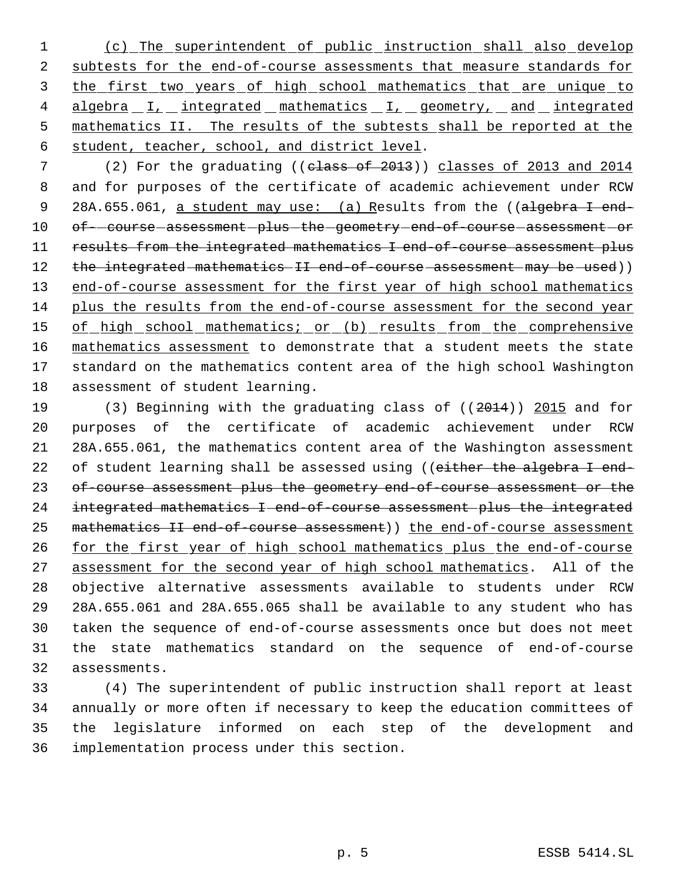1 (c) The superintendent of public instruction shall also develop 2 subtests for the end-of-course assessments that measure standards for 3 the first two years of high school mathematics that are unique to 4 algebra I, integrated mathematics I, geometry, and integrated 5 mathematics II. The results of the subtests shall be reported at the 6 student, teacher, school, and district level.

7 (2) For the graduating ((class of 2013)) classes of 2013 and 2014 8 and for purposes of the certificate of academic achievement under RCW 9 28A.655.061, a student may use: (a) Results from the ((algebra I end-10 of- course assessment -plus the geometry end-of-course assessment or 11 results from the integrated mathematics I end-of-course assessment plus 12 the integrated mathematics II end-of-course assessment may be used)) 13 end-of-course assessment for the first year of high school mathematics 14 plus the results from the end-of-course assessment for the second year 15 of high school mathematics; or (b) results from the comprehensive 16 mathematics assessment to demonstrate that a student meets the state 17 standard on the mathematics content area of the high school Washington 18 assessment of student learning.

 (3) Beginning with the graduating class of ((2014)) 2015 and for purposes of the certificate of academic achievement under RCW 28A.655.061, the mathematics content area of the Washington assessment 22 of student learning shall be assessed using ((either the algebra I end- of-course assessment plus the geometry end-of-course assessment or the integrated mathematics I end-of-course assessment plus the integrated 25 mathematics II end-of-course assessment)) the end-of-course assessment 26 for the first year of high school mathematics plus the end-of-course 27 assessment for the second year of high school mathematics. All of the objective alternative assessments available to students under RCW 28A.655.061 and 28A.655.065 shall be available to any student who has taken the sequence of end-of-course assessments once but does not meet the state mathematics standard on the sequence of end-of-course assessments.

 (4) The superintendent of public instruction shall report at least annually or more often if necessary to keep the education committees of the legislature informed on each step of the development and implementation process under this section.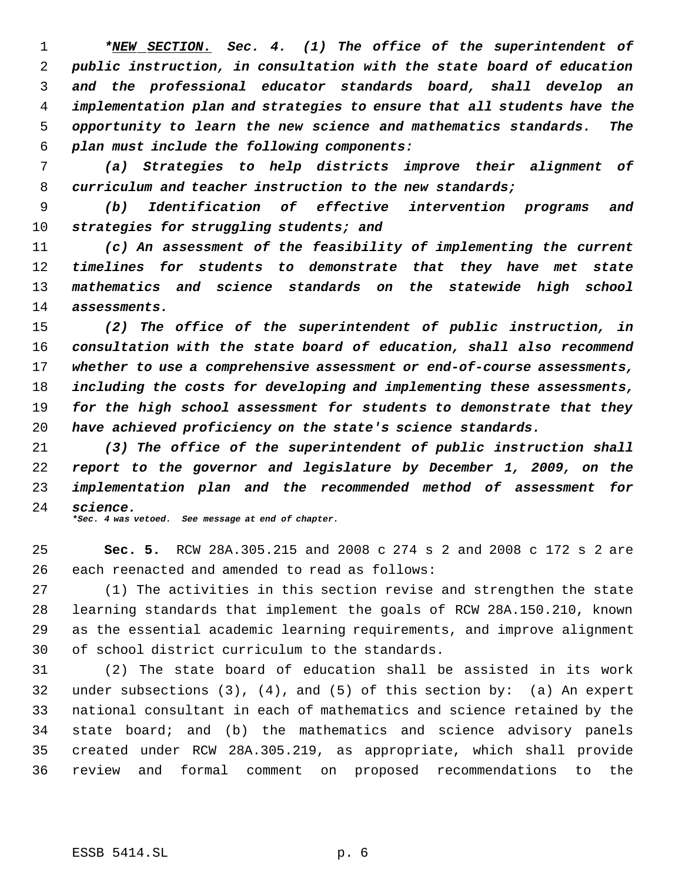*\*NEW SECTION. Sec. 4. (1) The office of the superintendent of public instruction, in consultation with the state board of education and the professional educator standards board, shall develop an implementation plan and strategies to ensure that all students have the opportunity to learn the new science and mathematics standards. The plan must include the following components:*

 *(a) Strategies to help districts improve their alignment of curriculum and teacher instruction to the new standards;*

 *(b) Identification of effective intervention programs and strategies for struggling students; and*

 *(c) An assessment of the feasibility of implementing the current timelines for students to demonstrate that they have met state mathematics and science standards on the statewide high school assessments.*

 *(2) The office of the superintendent of public instruction, in consultation with the state board of education, shall also recommend whether to use a comprehensive assessment or end-of-course assessments, including the costs for developing and implementing these assessments, for the high school assessment for students to demonstrate that they have achieved proficiency on the state's science standards.*

 *(3) The office of the superintendent of public instruction shall report to the governor and legislature by December 1, 2009, on the implementation plan and the recommended method of assessment for science. \*Sec. 4 was vetoed. See message at end of chapter.*

 **Sec. 5.** RCW 28A.305.215 and 2008 c 274 s 2 and 2008 c 172 s 2 are each reenacted and amended to read as follows:

 (1) The activities in this section revise and strengthen the state learning standards that implement the goals of RCW 28A.150.210, known as the essential academic learning requirements, and improve alignment of school district curriculum to the standards.

 (2) The state board of education shall be assisted in its work under subsections (3), (4), and (5) of this section by: (a) An expert national consultant in each of mathematics and science retained by the state board; and (b) the mathematics and science advisory panels created under RCW 28A.305.219, as appropriate, which shall provide review and formal comment on proposed recommendations to the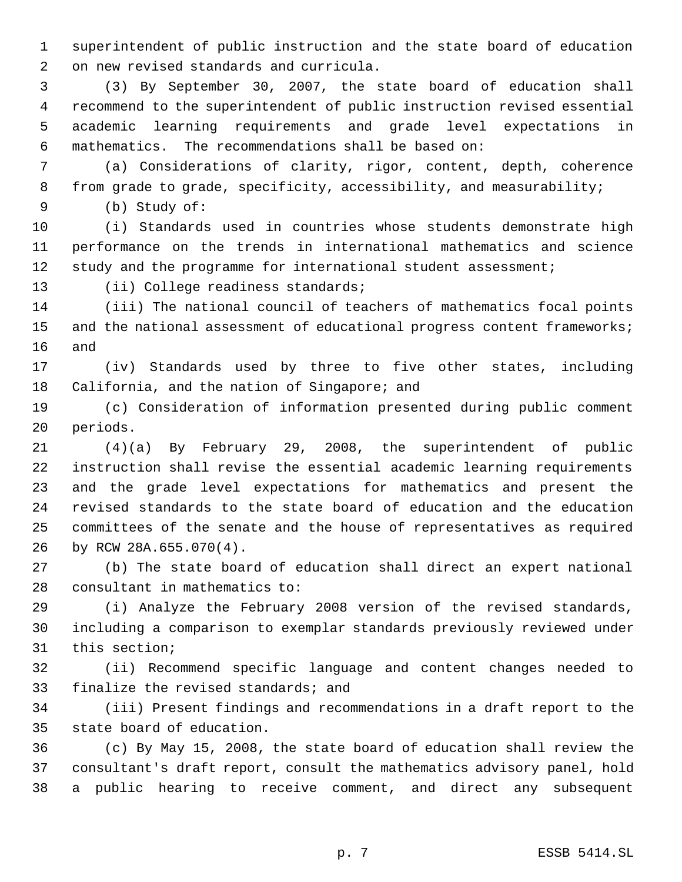superintendent of public instruction and the state board of education on new revised standards and curricula.

 (3) By September 30, 2007, the state board of education shall recommend to the superintendent of public instruction revised essential academic learning requirements and grade level expectations in mathematics. The recommendations shall be based on:

 (a) Considerations of clarity, rigor, content, depth, coherence from grade to grade, specificity, accessibility, and measurability;

(b) Study of:

 (i) Standards used in countries whose students demonstrate high performance on the trends in international mathematics and science 12 study and the programme for international student assessment;

13 (ii) College readiness standards;

 (iii) The national council of teachers of mathematics focal points 15 and the national assessment of educational progress content frameworks; and

 (iv) Standards used by three to five other states, including California, and the nation of Singapore; and

 (c) Consideration of information presented during public comment periods.

 (4)(a) By February 29, 2008, the superintendent of public instruction shall revise the essential academic learning requirements and the grade level expectations for mathematics and present the revised standards to the state board of education and the education committees of the senate and the house of representatives as required by RCW 28A.655.070(4).

 (b) The state board of education shall direct an expert national consultant in mathematics to:

 (i) Analyze the February 2008 version of the revised standards, including a comparison to exemplar standards previously reviewed under this section;

 (ii) Recommend specific language and content changes needed to finalize the revised standards; and

 (iii) Present findings and recommendations in a draft report to the state board of education.

 (c) By May 15, 2008, the state board of education shall review the consultant's draft report, consult the mathematics advisory panel, hold a public hearing to receive comment, and direct any subsequent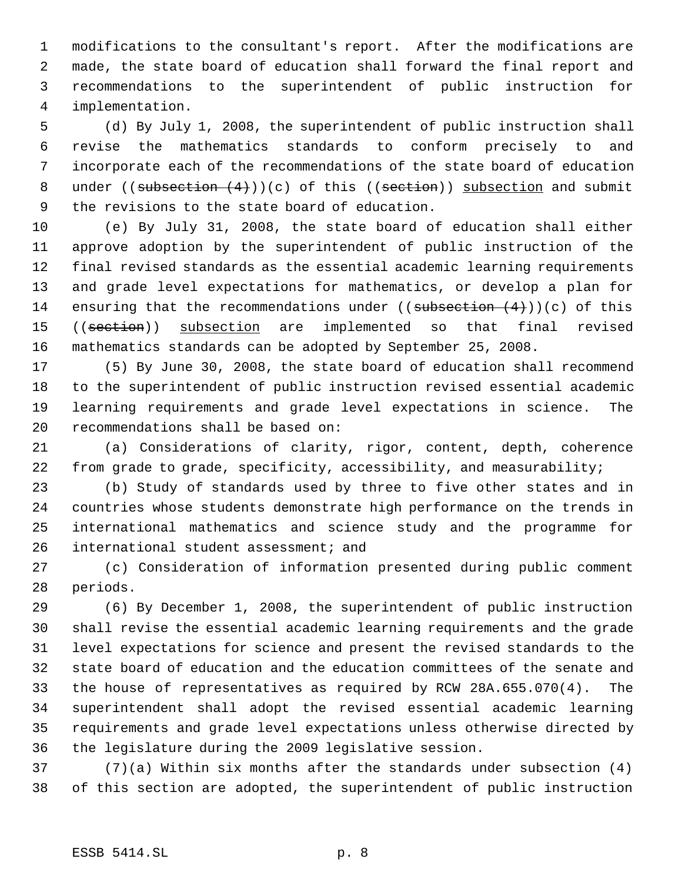modifications to the consultant's report. After the modifications are made, the state board of education shall forward the final report and recommendations to the superintendent of public instruction for implementation.

 (d) By July 1, 2008, the superintendent of public instruction shall revise the mathematics standards to conform precisely to and incorporate each of the recommendations of the state board of education 8 under ((subsection  $(4)$ ))(c) of this ((section)) subsection and submit the revisions to the state board of education.

 (e) By July 31, 2008, the state board of education shall either approve adoption by the superintendent of public instruction of the final revised standards as the essential academic learning requirements and grade level expectations for mathematics, or develop a plan for 14 ensuring that the recommendations under  $((\text{subsection } (4)))(c)$  of this 15 ((section)) subsection are implemented so that final revised mathematics standards can be adopted by September 25, 2008.

 (5) By June 30, 2008, the state board of education shall recommend to the superintendent of public instruction revised essential academic learning requirements and grade level expectations in science. The recommendations shall be based on:

 (a) Considerations of clarity, rigor, content, depth, coherence from grade to grade, specificity, accessibility, and measurability;

 (b) Study of standards used by three to five other states and in countries whose students demonstrate high performance on the trends in international mathematics and science study and the programme for international student assessment; and

 (c) Consideration of information presented during public comment periods.

 (6) By December 1, 2008, the superintendent of public instruction shall revise the essential academic learning requirements and the grade level expectations for science and present the revised standards to the state board of education and the education committees of the senate and the house of representatives as required by RCW 28A.655.070(4). The superintendent shall adopt the revised essential academic learning requirements and grade level expectations unless otherwise directed by the legislature during the 2009 legislative session.

 (7)(a) Within six months after the standards under subsection (4) of this section are adopted, the superintendent of public instruction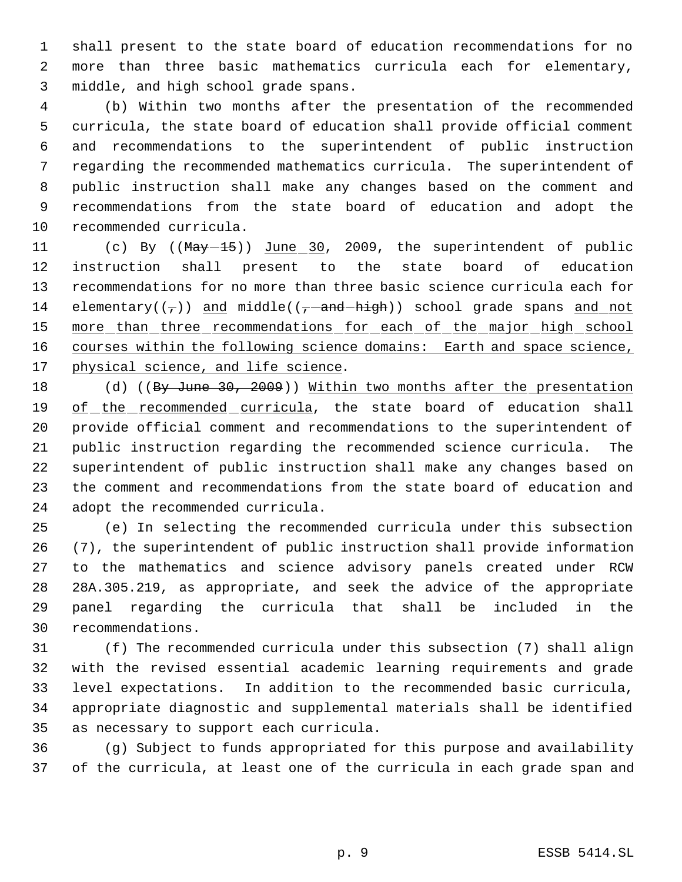shall present to the state board of education recommendations for no more than three basic mathematics curricula each for elementary, middle, and high school grade spans.

 (b) Within two months after the presentation of the recommended curricula, the state board of education shall provide official comment and recommendations to the superintendent of public instruction regarding the recommended mathematics curricula. The superintendent of public instruction shall make any changes based on the comment and recommendations from the state board of education and adopt the recommended curricula.

11 (c) By ((May -15)) June 30, 2009, the superintendent of public instruction shall present to the state board of education recommendations for no more than three basic science curricula each for 14 elementary( $(\tau)$ ) and middle( $(\tau$ -and-high)) school grade spans and not 15 more than three recommendations for each of the major high school 16 courses within the following science domains: Earth and space science, 17 physical science, and life science.

18 (d) ((By June 30, 2009)) Within two months after the presentation of the recommended curricula, the state board of education shall provide official comment and recommendations to the superintendent of public instruction regarding the recommended science curricula. The superintendent of public instruction shall make any changes based on the comment and recommendations from the state board of education and adopt the recommended curricula.

 (e) In selecting the recommended curricula under this subsection (7), the superintendent of public instruction shall provide information to the mathematics and science advisory panels created under RCW 28A.305.219, as appropriate, and seek the advice of the appropriate panel regarding the curricula that shall be included in the recommendations.

 (f) The recommended curricula under this subsection (7) shall align with the revised essential academic learning requirements and grade level expectations. In addition to the recommended basic curricula, appropriate diagnostic and supplemental materials shall be identified as necessary to support each curricula.

 (g) Subject to funds appropriated for this purpose and availability of the curricula, at least one of the curricula in each grade span and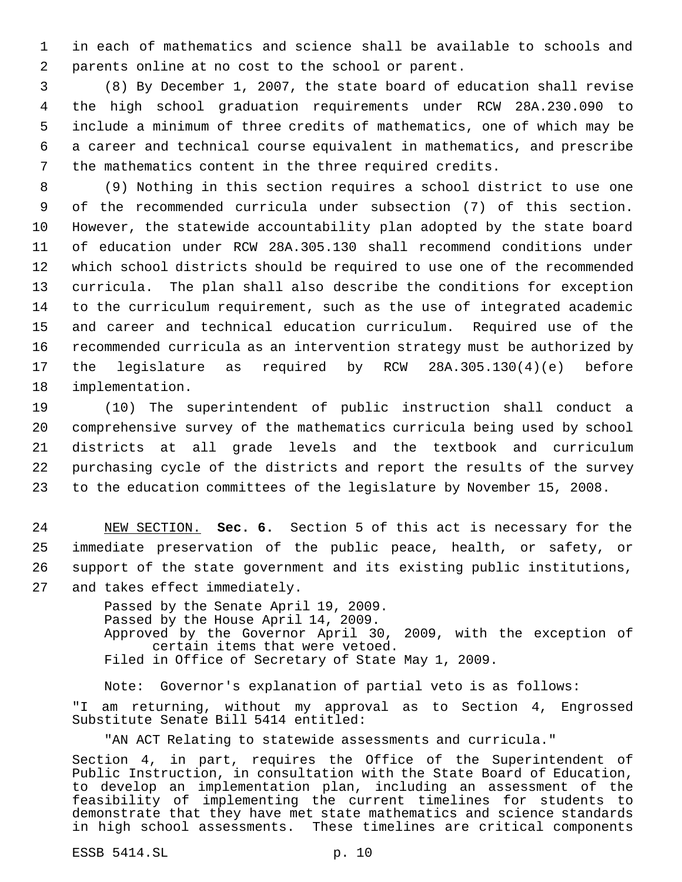in each of mathematics and science shall be available to schools and parents online at no cost to the school or parent.

 (8) By December 1, 2007, the state board of education shall revise the high school graduation requirements under RCW 28A.230.090 to include a minimum of three credits of mathematics, one of which may be a career and technical course equivalent in mathematics, and prescribe the mathematics content in the three required credits.

 (9) Nothing in this section requires a school district to use one of the recommended curricula under subsection (7) of this section. However, the statewide accountability plan adopted by the state board of education under RCW 28A.305.130 shall recommend conditions under which school districts should be required to use one of the recommended curricula. The plan shall also describe the conditions for exception to the curriculum requirement, such as the use of integrated academic and career and technical education curriculum. Required use of the recommended curricula as an intervention strategy must be authorized by the legislature as required by RCW 28A.305.130(4)(e) before implementation.

 (10) The superintendent of public instruction shall conduct a comprehensive survey of the mathematics curricula being used by school districts at all grade levels and the textbook and curriculum purchasing cycle of the districts and report the results of the survey to the education committees of the legislature by November 15, 2008.

 NEW SECTION. **Sec. 6.** Section 5 of this act is necessary for the immediate preservation of the public peace, health, or safety, or support of the state government and its existing public institutions, and takes effect immediately.

> Passed by the Senate April 19, 2009. Passed by the House April 14, 2009. Approved by the Governor April 30, 2009, with the exception of certain items that were vetoed. Filed in Office of Secretary of State May 1, 2009.

Note: Governor's explanation of partial veto is as follows: "I am returning, without my approval as to Section 4, Engrossed Substitute Senate Bill 5414 entitled:

"AN ACT Relating to statewide assessments and curricula."

Section 4, in part, requires the Office of the Superintendent of Public Instruction, in consultation with the State Board of Education, to develop an implementation plan, including an assessment of the feasibility of implementing the current timelines for students to demonstrate that they have met state mathematics and science standards in high school assessments. These timelines are critical components